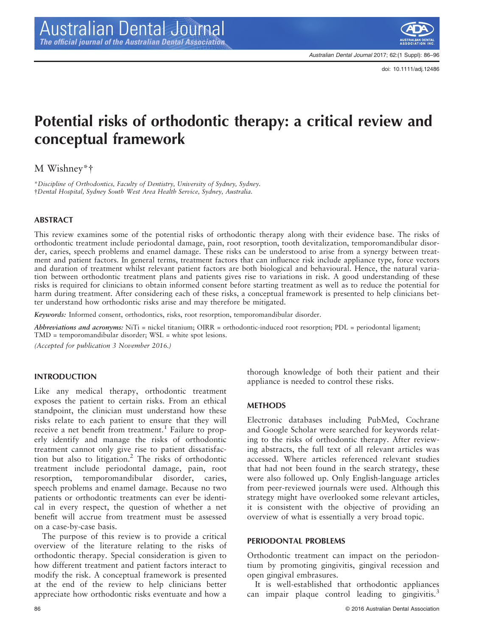

Australian Dental Journal 2017; 62:(1 Suppl): 86–96

doi: 10.1111/adj.12486

# Potential risks of orthodontic therapy: a critical review and conceptual framework

M Wishney\*†

\*Discipline of Orthodontics, Faculty of Dentistry, University of Sydney, Sydney. †Dental Hospital, Sydney South West Area Health Service, Sydney, Australia.

## ABSTRACT

This review examines some of the potential risks of orthodontic therapy along with their evidence base. The risks of orthodontic treatment include periodontal damage, pain, root resorption, tooth devitalization, temporomandibular disorder, caries, speech problems and enamel damage. These risks can be understood to arise from a synergy between treatment and patient factors. In general terms, treatment factors that can influence risk include appliance type, force vectors and duration of treatment whilst relevant patient factors are both biological and behavioural. Hence, the natural variation between orthodontic treatment plans and patients gives rise to variations in risk. A good understanding of these risks is required for clinicians to obtain informed consent before starting treatment as well as to reduce the potential for harm during treatment. After considering each of these risks, a conceptual framework is presented to help clinicians better understand how orthodontic risks arise and may therefore be mitigated.

Keywords: Informed consent, orthodontics, risks, root resorption, temporomandibular disorder.

Abbreviations and acronyms:  $NiTi$  = nickel titanium;  $OIRR =$  orthodontic-induced root resorption;  $PDL =$  periodontal ligament; TMD = temporomandibular disorder; WSL = white spot lesions.

(Accepted for publication 3 November 2016.)

## INTRODUCTION

Like any medical therapy, orthodontic treatment exposes the patient to certain risks. From an ethical standpoint, the clinician must understand how these risks relate to each patient to ensure that they will receive a net benefit from treatment.<sup>1</sup> Failure to properly identify and manage the risks of orthodontic treatment cannot only give rise to patient dissatisfaction but also to litigation.2 The risks of orthodontic treatment include periodontal damage, pain, root resorption, temporomandibular disorder, caries, speech problems and enamel damage. Because no two patients or orthodontic treatments can ever be identical in every respect, the question of whether a net benefit will accrue from treatment must be assessed on a case-by-case basis.

The purpose of this review is to provide a critical overview of the literature relating to the risks of orthodontic therapy. Special consideration is given to how different treatment and patient factors interact to modify the risk. A conceptual framework is presented at the end of the review to help clinicians better appreciate how orthodontic risks eventuate and how a

thorough knowledge of both their patient and their appliance is needed to control these risks.

## **METHODS**

Electronic databases including PubMed, Cochrane and Google Scholar were searched for keywords relating to the risks of orthodontic therapy. After reviewing abstracts, the full text of all relevant articles was accessed. Where articles referenced relevant studies that had not been found in the search strategy, these were also followed up. Only English-language articles from peer-reviewed journals were used. Although this strategy might have overlooked some relevant articles, it is consistent with the objective of providing an overview of what is essentially a very broad topic.

### PERIODONTAL PROBLEMS

Orthodontic treatment can impact on the periodontium by promoting gingivitis, gingival recession and open gingival embrasures.

It is well-established that orthodontic appliances can impair plaque control leading to gingivitis.<sup>3</sup>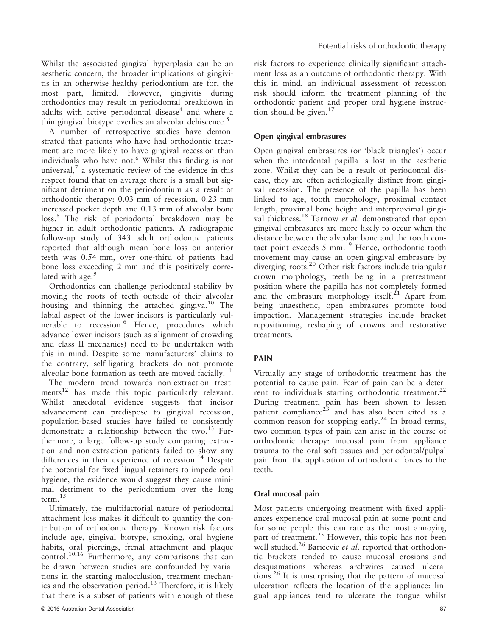Whilst the associated gingival hyperplasia can be an aesthetic concern, the broader implications of gingivitis in an otherwise healthy periodontium are for, the most part, limited. However, gingivitis during orthodontics may result in periodontal breakdown in adults with active periodontal disease<sup>4</sup> and where a thin gingival biotype overlies an alveolar dehiscence.<sup>5</sup>

A number of retrospective studies have demonstrated that patients who have had orthodontic treatment are more likely to have gingival recession than individuals who have not.<sup>6</sup> Whilst this finding is not universal, $<sup>7</sup>$  a systematic review of the evidence in this</sup> respect found that on average there is a small but significant detriment on the periodontium as a result of orthodontic therapy: 0.03 mm of recession, 0.23 mm increased pocket depth and 0.13 mm of alveolar bone loss.<sup>8</sup> The risk of periodontal breakdown may be higher in adult orthodontic patients. A radiographic follow-up study of 343 adult orthodontic patients reported that although mean bone loss on anterior teeth was 0.54 mm, over one-third of patients had bone loss exceeding 2 mm and this positively correlated with age.<sup>9</sup>

Orthodontics can challenge periodontal stability by moving the roots of teeth outside of their alveolar housing and thinning the attached gingiva.<sup>10</sup> The labial aspect of the lower incisors is particularly vulnerable to recession.<sup>6</sup> Hence, procedures which advance lower incisors (such as alignment of crowding and class II mechanics) need to be undertaken with this in mind. Despite some manufacturers' claims to the contrary, self-ligating brackets do not promote alveolar bone formation as teeth are moved facially.<sup>11</sup>

The modern trend towards non-extraction treatments $12$  has made this topic particularly relevant. Whilst anecdotal evidence suggests that incisor advancement can predispose to gingival recession, population-based studies have failed to consistently demonstrate a relationship between the two. $^{13}$  Furthermore, a large follow-up study comparing extraction and non-extraction patients failed to show any differences in their experience of recession.<sup>14</sup> Despite the potential for fixed lingual retainers to impede oral hygiene, the evidence would suggest they cause minimal detriment to the periodontium over the long term.<sup>15</sup>

Ultimately, the multifactorial nature of periodontal attachment loss makes it difficult to quantify the contribution of orthodontic therapy. Known risk factors include age, gingival biotype, smoking, oral hygiene habits, oral piercings, frenal attachment and plaque control.10,16 Furthermore, any comparisons that can be drawn between studies are confounded by variations in the starting malocclusion, treatment mechanics and the observation period. $^{13}$  Therefore, it is likely that there is a subset of patients with enough of these

risk factors to experience clinically significant attachment loss as an outcome of orthodontic therapy. With this in mind, an individual assessment of recession risk should inform the treatment planning of the orthodontic patient and proper oral hygiene instruction should be given. $17$ 

## Open gingival embrasures

Open gingival embrasures (or 'black triangles') occur when the interdental papilla is lost in the aesthetic zone. Whilst they can be a result of periodontal disease, they are often aetiologically distinct from gingival recession. The presence of the papilla has been linked to age, tooth morphology, proximal contact length, proximal bone height and interproximal gingival thickness.<sup>18</sup> Tarnow et al. demonstrated that open gingival embrasures are more likely to occur when the distance between the alveolar bone and the tooth contact point exceeds  $5 \text{ mm}$ .<sup>19</sup> Hence, orthodontic tooth movement may cause an open gingival embrasure by diverging roots.<sup>20</sup> Other risk factors include triangular crown morphology, teeth being in a pretreatment position where the papilla has not completely formed and the embrasure morphology itself. $^{21}$  Apart from being unaesthetic, open embrasures promote food impaction. Management strategies include bracket repositioning, reshaping of crowns and restorative treatments.

# PAIN

Virtually any stage of orthodontic treatment has the potential to cause pain. Fear of pain can be a deterrent to individuals starting orthodontic treatment.<sup>22</sup> During treatment, pain has been shown to lessen patient compliance $23$  and has also been cited as a common reason for stopping early.<sup>24</sup> In broad terms, two common types of pain can arise in the course of orthodontic therapy: mucosal pain from appliance trauma to the oral soft tissues and periodontal/pulpal pain from the application of orthodontic forces to the teeth.

## Oral mucosal pain

Most patients undergoing treatment with fixed appliances experience oral mucosal pain at some point and for some people this can rate as the most annoying part of treatment.<sup>25</sup> However, this topic has not been well studied.<sup>26</sup> Baricevic et al. reported that orthodontic brackets tended to cause mucosal erosions and desquamations whereas archwires caused ulcerations.<sup>26</sup> It is unsurprising that the pattern of mucosal ulceration reflects the location of the appliance: lingual appliances tend to ulcerate the tongue whilst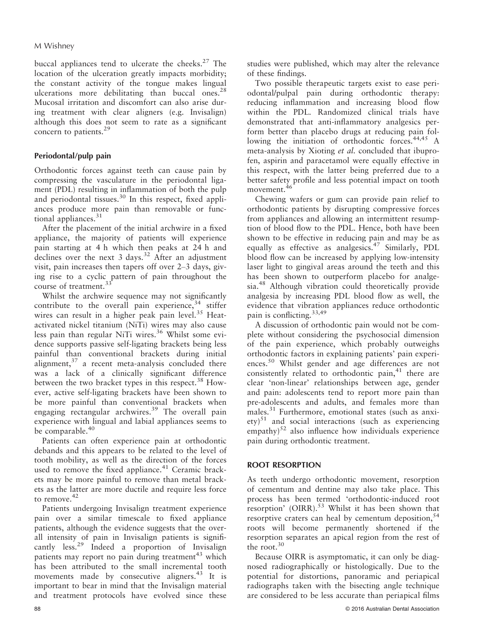buccal appliances tend to ulcerate the cheeks. $27$  The location of the ulceration greatly impacts morbidity; the constant activity of the tongue makes lingual ulcerations more debilitating than buccal ones.<sup>28</sup> Mucosal irritation and discomfort can also arise during treatment with clear aligners (e.g. Invisalign) although this does not seem to rate as a significant concern to patients.<sup>29</sup>

## Periodontal/pulp pain

Orthodontic forces against teeth can cause pain by compressing the vasculature in the periodontal ligament (PDL) resulting in inflammation of both the pulp and periodontal tissues.<sup>30</sup> In this respect, fixed appliances produce more pain than removable or functional appliances.<sup>31</sup>

After the placement of the initial archwire in a fixed appliance, the majority of patients will experience pain starting at 4 h which then peaks at 24 h and declines over the next  $3 \text{ days}$ .<sup>32</sup> After an adjustment visit, pain increases then tapers off over 2–3 days, giving rise to a cyclic pattern of pain throughout the course of treatment.<sup>33</sup>

Whilst the archwire sequence may not significantly contribute to the overall pain experience,  $34$  stiffer wires can result in a higher peak pain level.<sup>35</sup> Heatactivated nickel titanium (NiTi) wires may also cause less pain than regular NiTi wires.<sup>36</sup> Whilst some evidence supports passive self-ligating brackets being less painful than conventional brackets during initial alignment, $37$  a recent meta-analysis concluded there was a lack of a clinically significant difference between the two bracket types in this respect.<sup>38</sup> However, active self-ligating brackets have been shown to be more painful than conventional brackets when engaging rectangular archwires.<sup>39</sup> The overall pain experience with lingual and labial appliances seems to be comparable.<sup>40</sup>

Patients can often experience pain at orthodontic debands and this appears to be related to the level of tooth mobility, as well as the direction of the forces used to remove the fixed appliance.<sup>41</sup> Ceramic brackets may be more painful to remove than metal brackets as the latter are more ductile and require less force to remove.<sup>42</sup>

Patients undergoing Invisalign treatment experience pain over a similar timescale to fixed appliance patients, although the evidence suggests that the overall intensity of pain in Invisalign patients is significantly less.<sup>29</sup> Indeed a proportion of Invisalign patients may report no pain during treatment $43$  which has been attributed to the small incremental tooth movements made by consecutive aligners.<sup>43</sup> It is important to bear in mind that the Invisalign material and treatment protocols have evolved since these

studies were published, which may alter the relevance of these findings.

Two possible therapeutic targets exist to ease periodontal/pulpal pain during orthodontic therapy: reducing inflammation and increasing blood flow within the PDL. Randomized clinical trials have demonstrated that anti-inflammatory analgesics perform better than placebo drugs at reducing pain following the initiation of orthodontic forces.<sup>44,45</sup> A meta-analysis by Xioting et al. concluded that ibuprofen, aspirin and paracetamol were equally effective in this respect, with the latter being preferred due to a better safety profile and less potential impact on tooth movement.<sup>46</sup>

Chewing wafers or gum can provide pain relief to orthodontic patients by disrupting compressive forces from appliances and allowing an intermittent resumption of blood flow to the PDL. Hence, both have been shown to be effective in reducing pain and may be as equally as effective as analgesics.<sup>47</sup> Similarly, PDL blood flow can be increased by applying low-intensity laser light to gingival areas around the teeth and this has been shown to outperform placebo for analgesia.<sup>48</sup> Although vibration could theoretically provide analgesia by increasing PDL blood flow as well, the evidence that vibration appliances reduce orthodontic pain is conflicting.33,49

A discussion of orthodontic pain would not be complete without considering the psychosocial dimension of the pain experience, which probably outweighs orthodontic factors in explaining patients' pain experiences.50 Whilst gender and age differences are not consistently related to orthodontic pain,<sup>41</sup> there are clear 'non-linear' relationships between age, gender and pain: adolescents tend to report more pain than pre-adolescents and adults, and females more than males.<sup>31</sup> Furthermore, emotional states (such as anxi- $\text{ety}^{51}$  and social interactions (such as experiencing  $\text{empathy}$ <sup>52</sup> also influence how individuals experience pain during orthodontic treatment.

## ROOT RESORPTION

As teeth undergo orthodontic movement, resorption of cementum and dentine may also take place. This process has been termed 'orthodontic-induced root resorption' (OIRR). $53$  Whilst it has been shown that resorptive craters can heal by cementum deposition,  $54$ roots will become permanently shortened if the resorption separates an apical region from the rest of the root.<sup>30</sup>

Because OIRR is asymptomatic, it can only be diagnosed radiographically or histologically. Due to the potential for distortions, panoramic and periapical radiographs taken with the bisecting angle technique are considered to be less accurate than periapical films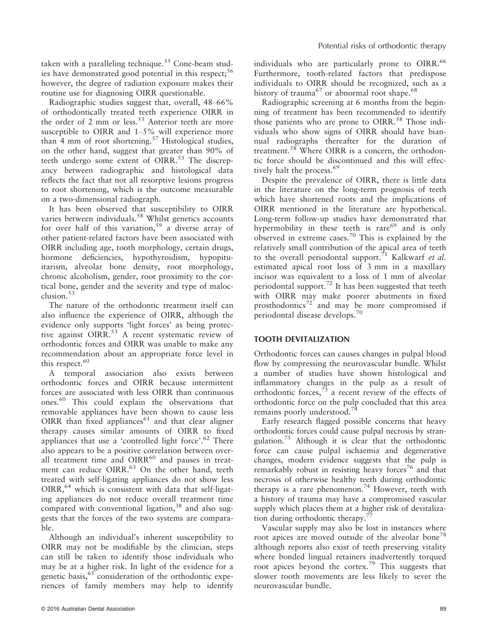taken with a paralleling technique.<sup>55</sup> Cone-beam studies have demonstrated good potential in this respect;  $56$ however, the degree of radiation exposure makes their routine use for diagnosing OIRR questionable.

Radiographic studies suggest that, overall, 48–66% of orthodontically treated teeth experience OIRR in the order of 2 mm or less.<sup>53</sup> Anterior teeth are more susceptible to OIRR and 1–5% will experience more than 4 mm of root shortening.<sup>57</sup> Histological studies, on the other hand, suggest that greater than 90% of teeth undergo some extent of OIRR.<sup>53</sup> The discrepancy between radiographic and histological data reflects the fact that not all resorptive lesions progress to root shortening, which is the outcome measurable on a two-dimensional radiograph.

It has been observed that susceptibility to OIRR varies between individuals.<sup>58</sup> Whilst genetics accounts for over half of this variation,  $59$  a diverse array of other patient-related factors have been associated with OIRR including age, tooth morphology, certain drugs, hormone deficiencies, hypothyroidism, hypopituitarism, alveolar bone density, root morphology, chronic alcoholism, gender, root proximity to the cortical bone, gender and the severity and type of malocclusion.<sup>53</sup>

The nature of the orthodontic treatment itself can also influence the experience of OIRR, although the evidence only supports 'light forces' as being protective against OIRR.<sup>53</sup> A recent systematic review of orthodontic forces and OIRR was unable to make any recommendation about an appropriate force level in this respect.<sup>60</sup>

A temporal association also exists between orthodontic forces and OIRR because intermittent forces are associated with less OIRR than continuous ones.<sup>60</sup> This could explain the observations that removable appliances have been shown to cause less OIRR than fixed appliances $61$  and that clear aligner therapy causes similar amounts of OIRR to fixed appliances that use a 'controlled light force'. $62$  There also appears to be a positive correlation between overall treatment time and  $OIRR^{60}$  and pauses in treatment can reduce OIRR.<sup>63</sup> On the other hand, teeth treated with self-ligating appliances do not show less  $OIRR<sub>1</sub><sup>64</sup>$  which is consistent with data that self-ligating appliances do not reduce overall treatment time compared with conventional ligation, $38$  and also suggests that the forces of the two systems are comparable.

Although an individual's inherent susceptibility to OIRR may not be modifiable by the clinician, steps can still be taken to identify those individuals who may be at a higher risk. In light of the evidence for a genetic basis,  $65$  consideration of the orthodontic experiences of family members may help to identify individuals who are particularly prone to OIRR.<sup>66</sup> Furthermore, tooth-related factors that predispose individuals to OIRR should be recognized, such as a history of trauma<sup>67</sup> or abnormal root shape.<sup>68</sup>

Radiographic screening at 6 months from the beginning of treatment has been recommended to identify those patients who are prone to OIRR.<sup>58</sup> Those individuals who show signs of OIRR should have biannual radiographs thereafter for the duration of treatment.<sup>58</sup> Where OIRR is a concern, the orthodontic force should be discontinued and this will effectively halt the process.<sup>69</sup>

Despite the prevalence of OIRR, there is little data in the literature on the long-term prognosis of teeth which have shortened roots and the implications of OIRR mentioned in the literature are hypothetical. Long-term follow-up studies have demonstrated that hypermobility in these teeth is  $rare^{69}$  and is only observed in extreme cases.<sup>70</sup> This is explained by the relatively small contribution of the apical area of teeth to the overall periodontal support.<sup>71</sup> Kalkwarf et al. estimated apical root loss of 3 mm in a maxillary incisor was equivalent to a loss of 1 mm of alveolar periodontal support.<sup>72</sup> It has been suggested that teeth with OIRR may make poorer abutments in fixed prosthodontics<sup>72'</sup> and may be more compromised if periodontal disease develops.70

### TOOTH DEVITALIZATION

Orthodontic forces can causes changes in pulpal blood flow by compressing the neurovascular bundle. Whilst a number of studies have shown histological and inflammatory changes in the pulp as a result of orthodontic forces,<sup>73</sup> a recent review of the effects of orthodontic force on the pulp concluded that this area remains poorly understood.<sup>74</sup>

Early research flagged possible concerns that heavy orthodontic forces could cause pulpal necrosis by strangulation.<sup>75</sup> Although it is clear that the orthodontic force can cause pulpal ischaemia and degenerative changes, modern evidence suggests that the pulp is remarkably robust in resisting heavy forces<sup>76</sup> and that necrosis of otherwise healthy teeth during orthodontic therapy is a rare phenomenon.<sup>74</sup> However, teeth with a history of trauma may have a compromised vascular supply which places them at a higher risk of devitalization during orthodontic therapy.<sup>7</sup>

Vascular supply may also be lost in instances where root apices are moved outside of the alveolar bone<sup>78</sup> although reports also exist of teeth preserving vitality where bonded lingual retainers inadvertently torqued root apices beyond the cortex.<sup>79</sup> This suggests that slower tooth movements are less likely to sever the neurovascular bundle.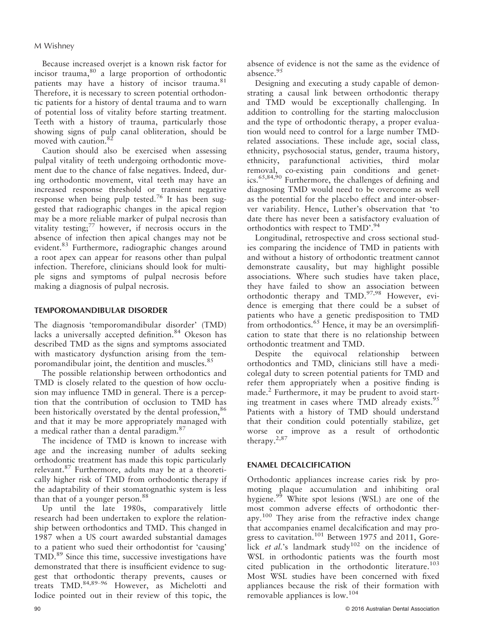Because increased overjet is a known risk factor for incisor trauma,<sup>80</sup> a large proportion of orthodontic patients may have a history of incisor trauma.<sup>81</sup> Therefore, it is necessary to screen potential orthodontic patients for a history of dental trauma and to warn of potential loss of vitality before starting treatment. Teeth with a history of trauma, particularly those showing signs of pulp canal obliteration, should be moved with caution.<sup>82</sup>

Caution should also be exercised when assessing pulpal vitality of teeth undergoing orthodontic movement due to the chance of false negatives. Indeed, during orthodontic movement, vital teeth may have an increased response threshold or transient negative response when being pulp tested.<sup>76</sup> It has been suggested that radiographic changes in the apical region may be a more reliable marker of pulpal necrosis than vitality testing; $77$  however, if necrosis occurs in the absence of infection then apical changes may not be evident.<sup>83</sup> Furthermore, radiographic changes around a root apex can appear for reasons other than pulpal infection. Therefore, clinicians should look for multiple signs and symptoms of pulpal necrosis before making a diagnosis of pulpal necrosis.

## TEMPOROMANDIBULAR DISORDER

The diagnosis 'temporomandibular disorder' (TMD) lacks a universally accepted definition.<sup>84</sup> Okeson has described TMD as the signs and symptoms associated with masticatory dysfunction arising from the temporomandibular joint, the dentition and muscles.<sup>85</sup>

The possible relationship between orthodontics and TMD is closely related to the question of how occlusion may influence TMD in general. There is a perception that the contribution of occlusion to TMD has been historically overstated by the dental profession,<sup>86</sup> and that it may be more appropriately managed with a medical rather than a dental paradigm.<sup>87</sup>

The incidence of TMD is known to increase with age and the increasing number of adults seeking orthodontic treatment has made this topic particularly relevant.<sup>87</sup> Furthermore, adults may be at a theoretically higher risk of TMD from orthodontic therapy if the adaptability of their stomatognathic system is less than that of a younger person.<sup>88</sup>

Up until the late 1980s, comparatively little research had been undertaken to explore the relationship between orthodontics and TMD. This changed in 1987 when a US court awarded substantial damages to a patient who sued their orthodontist for 'causing' TMD.<sup>89</sup> Since this time, successive investigations have demonstrated that there is insufficient evidence to suggest that orthodontic therapy prevents, causes or treats TMD.84,89–<sup>96</sup> However, as Michelotti and Iodice pointed out in their review of this topic, the

absence of evidence is not the same as the evidence of absence.<sup>95</sup>

Designing and executing a study capable of demonstrating a causal link between orthodontic therapy and TMD would be exceptionally challenging. In addition to controlling for the starting malocclusion and the type of orthodontic therapy, a proper evaluation would need to control for a large number TMDrelated associations. These include age, social class, ethnicity, psychosocial status, gender, trauma history, ethnicity, parafunctional activities, third molar removal, co-existing pain conditions and genetics.<sup>65,84,90</sup> Furthermore, the challenges of defining and diagnosing TMD would need to be overcome as well as the potential for the placebo effect and inter-observer variability. Hence, Luther's observation that 'to date there has never been a satisfactory evaluation of orthodontics with respect to TMD'.<sup>94</sup>

Longitudinal, retrospective and cross sectional studies comparing the incidence of TMD in patients with and without a history of orthodontic treatment cannot demonstrate causality, but may highlight possible associations. Where such studies have taken place, they have failed to show an association between orthodontic therapy and TMD.<sup>97,98</sup> However, evidence is emerging that there could be a subset of patients who have a genetic predisposition to TMD from orthodontics. $^{65}$  Hence, it may be an oversimplification to state that there is no relationship between orthodontic treatment and TMD.

Despite the equivocal relationship between orthodontics and TMD, clinicians still have a medicolegal duty to screen potential patients for TMD and refer them appropriately when a positive finding is made.<sup>2</sup> Furthermore, it may be prudent to avoid starting treatment in cases where TMD already exists.<sup>95</sup> Patients with a history of TMD should understand that their condition could potentially stabilize, get worse or improve as a result of orthodontic therapy.2,87

## ENAMEL DECALCIFICATION

Orthodontic appliances increase caries risk by promoting plaque accumulation and inhibiting oral hygiene.<sup>99</sup> White spot lesions (WSL) are one of the most common adverse effects of orthodontic therapy.<sup>100</sup> They arise from the refractive index change that accompanies enamel decalcification and may progress to cavitation.<sup>101</sup> Between 1975 and 2011, Gorelick *et al.*'s landmark study<sup>102</sup> on the incidence of WSL in orthodontic patients was the fourth most cited publication in the orthodontic literature.<sup>103</sup> Most WSL studies have been concerned with fixed appliances because the risk of their formation with removable appliances is low.<sup>104</sup>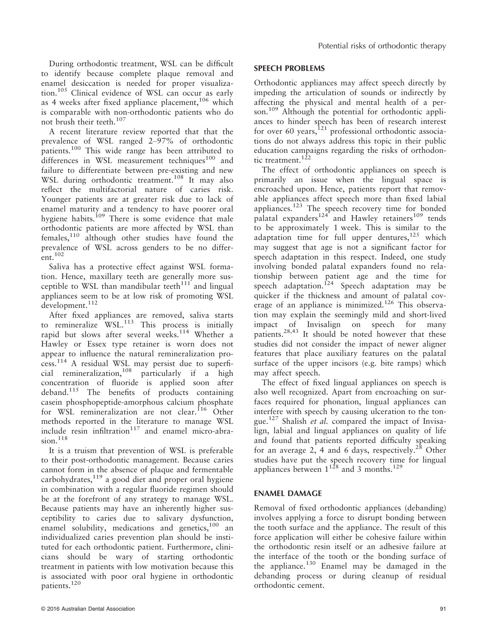During orthodontic treatment, WSL can be difficult to identify because complete plaque removal and enamel desiccation is needed for proper visualization.<sup>105</sup> Clinical evidence of WSL can occur as early as 4 weeks after fixed appliance placement,  $106$  which is comparable with non-orthodontic patients who do not brush their teeth.107

A recent literature review reported that that the prevalence of WSL ranged 2–97% of orthodontic patients.<sup>100</sup> This wide range has been attributed to differences in WSL measurement techniques $100$  and failure to differentiate between pre-existing and new WSL during orthodontic treatment.<sup>108</sup> It may also reflect the multifactorial nature of caries risk. Younger patients are at greater risk due to lack of enamel maturity and a tendency to have poorer oral hygiene habits.<sup>109</sup> There is some evidence that male orthodontic patients are more affected by WSL than females,110 although other studies have found the prevalence of WSL across genders to be no differ $ent.$ <sup>102</sup>

Saliva has a protective effect against WSL formation. Hence, maxillary teeth are generally more susceptible to WSL than mandibular teeth $111'$  and lingual appliances seem to be at low risk of promoting WSL  $develoment.<sup>112</sup>$ 

After fixed appliances are removed, saliva starts to remineralize  $WSL<sup>113</sup>$  This process is initially rapid but slows after several weeks.<sup>114</sup> Whether a Hawley or Essex type retainer is worn does not appear to influence the natural remineralization process.<sup>114</sup> A residual WSL may persist due to superficial remineralization,<sup>108</sup> particularly if a high concentration of fluoride is applied soon after deband.115 The benefits of products containing casein phosphopeptide-amorphous calcium phosphate for WSL remineralization are not clear.<sup>116</sup> Other methods reported in the literature to manage WSL  $include$  resin infiltration<sup>117</sup> and enamel micro-abra $s$ ion.<sup>118</sup>

It is a truism that prevention of WSL is preferable to their post-orthodontic management. Because caries cannot form in the absence of plaque and fermentable carbohydrates, $119$  a good diet and proper oral hygiene in combination with a regular fluoride regimen should be at the forefront of any strategy to manage WSL. Because patients may have an inherently higher susceptibility to caries due to salivary dysfunction, enamel solubility, medications and genetics, $100$  an individualized caries prevention plan should be instituted for each orthodontic patient. Furthermore, clinicians should be wary of starting orthodontic treatment in patients with low motivation because this is associated with poor oral hygiene in orthodontic patients.<sup>120</sup>

## SPEECH PROBLEMS

Orthodontic appliances may affect speech directly by impeding the articulation of sounds or indirectly by affecting the physical and mental health of a person.<sup>109</sup> Although the potential for orthodontic appliances to hinder speech has been of research interest for over 60 years, $121$  professional orthodontic associations do not always address this topic in their public education campaigns regarding the risks of orthodontic treatment.<sup>122</sup>

The effect of orthodontic appliances on speech is primarily an issue when the lingual space is encroached upon. Hence, patients report that removable appliances affect speech more than fixed labial appliances.<sup>123</sup> The speech recovery time for bonded palatal expanders<sup>124</sup> and Hawley retainers<sup>109</sup> tends to be approximately 1 week. This is similar to the adaptation time for full upper dentures, $125$  which may suggest that age is not a significant factor for speech adaptation in this respect. Indeed, one study involving bonded palatal expanders found no relationship between patient age and the time for speech adaptation.<sup>124</sup> Speech adaptation may be quicker if the thickness and amount of palatal coverage of an appliance is minimized.<sup>126</sup> This observation may explain the seemingly mild and short-lived impact of Invisalign on speech for many patients.28,43 It should be noted however that these studies did not consider the impact of newer aligner features that place auxiliary features on the palatal surface of the upper incisors (e.g. bite ramps) which may affect speech.

The effect of fixed lingual appliances on speech is also well recognized. Apart from encroaching on surfaces required for phonation, lingual appliances can interfere with speech by causing ulceration to the tongue.<sup>127</sup> Shalish et al. compared the impact of Invisalign, labial and lingual appliances on quality of life and found that patients reported difficulty speaking for an average 2, 4 and 6 days, respectively.<sup>28</sup> Other studies have put the speech recovery time for lingual appliances between  $1^{128}$  and 3 months.<sup>129</sup>

# ENAMEL DAMAGE

Removal of fixed orthodontic appliances (debanding) involves applying a force to disrupt bonding between the tooth surface and the appliance. The result of this force application will either be cohesive failure within the orthodontic resin itself or an adhesive failure at the interface of the tooth or the bonding surface of the appliance.<sup>130</sup> Enamel may be damaged in the debanding process or during cleanup of residual orthodontic cement.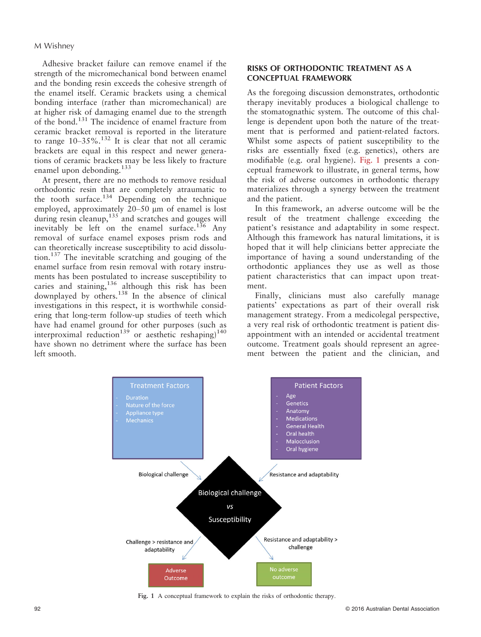Adhesive bracket failure can remove enamel if the strength of the micromechanical bond between enamel and the bonding resin exceeds the cohesive strength of the enamel itself. Ceramic brackets using a chemical bonding interface (rather than micromechanical) are at higher risk of damaging enamel due to the strength of the bond.<sup>131</sup> The incidence of enamel fracture from ceramic bracket removal is reported in the literature to range  $10-35\%$ .<sup>132</sup> It is clear that not all ceramic brackets are equal in this respect and newer generations of ceramic brackets may be less likely to fracture enamel upon debonding.<sup>133</sup>

At present, there are no methods to remove residual orthodontic resin that are completely atraumatic to the tooth surface. $134$  Depending on the technique employed, approximately  $20-50$  µm of enamel is lost during resin cleanup,<sup>135</sup> and scratches and gouges will inevitably be left on the enamel surface.<sup>136</sup> Any removal of surface enamel exposes prism rods and can theoretically increase susceptibility to acid dissolution.<sup>137</sup> The inevitable scratching and gouging of the enamel surface from resin removal with rotary instruments has been postulated to increase susceptibility to caries and staining,  $136$  although this risk has been downplayed by others.<sup>138</sup> In the absence of clinical investigations in this respect, it is worthwhile considering that long-term follow-up studies of teeth which have had enamel ground for other purposes (such as interproximal reduction<sup>139</sup> or aesthetic reshaping)<sup>140</sup> have shown no detriment where the surface has been left smooth.

## RISKS OF ORTHODONTIC TREATMENT AS A CONCEPTUAL FRAMEWORK

As the foregoing discussion demonstrates, orthodontic therapy inevitably produces a biological challenge to the stomatognathic system. The outcome of this challenge is dependent upon both the nature of the treatment that is performed and patient-related factors. Whilst some aspects of patient susceptibility to the risks are essentially fixed (e.g. genetics), others are modifiable (e.g. oral hygiene). Fig. 1 presents a conceptual framework to illustrate, in general terms, how the risk of adverse outcomes in orthodontic therapy materializes through a synergy between the treatment and the patient.

In this framework, an adverse outcome will be the result of the treatment challenge exceeding the patient's resistance and adaptability in some respect. Although this framework has natural limitations, it is hoped that it will help clinicians better appreciate the importance of having a sound understanding of the orthodontic appliances they use as well as those patient characteristics that can impact upon treatment.

Finally, clinicians must also carefully manage patients' expectations as part of their overall risk management strategy. From a medicolegal perspective, a very real risk of orthodontic treatment is patient disappointment with an intended or accidental treatment outcome. Treatment goals should represent an agreement between the patient and the clinician, and



Fig. 1 A conceptual framework to explain the risks of orthodontic therapy.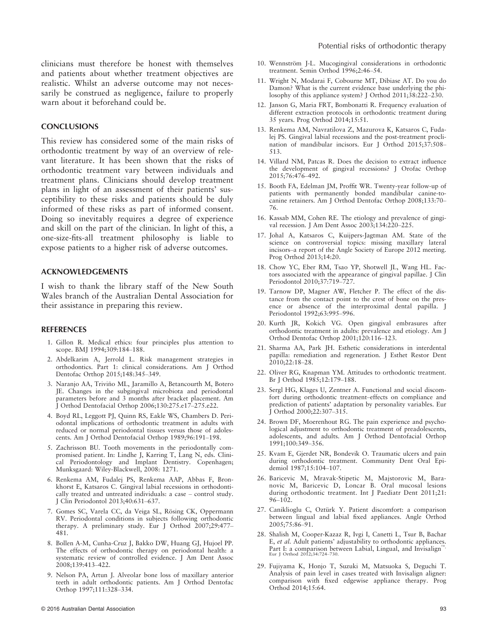Potential risks of orthodontic therapy

clinicians must therefore be honest with themselves and patients about whether treatment objectives are realistic. Whilst an adverse outcome may not necessarily be construed as negligence, failure to properly warn about it beforehand could be.

#### **CONCLUSIONS**

This review has considered some of the main risks of orthodontic treatment by way of an overview of relevant literature. It has been shown that the risks of orthodontic treatment vary between individuals and treatment plans. Clinicians should develop treatment plans in light of an assessment of their patients' susceptibility to these risks and patients should be duly informed of these risks as part of informed consent. Doing so inevitably requires a degree of experience and skill on the part of the clinician. In light of this, a one-size-fits-all treatment philosophy is liable to expose patients to a higher risk of adverse outcomes.

#### ACKNOWLEDGEMENTS

I wish to thank the library staff of the New South Wales branch of the Australian Dental Association for their assistance in preparing this review.

#### REFERENCES

- 1. Gillon R. Medical ethics: four principles plus attention to scope. BMJ 1994;309:184–188.
- 2. Abdelkarim A, Jerrold L. Risk management strategies in orthodontics. Part 1: clinical considerations. Am J Orthod Dentofac Orthop 2015;148:345–349.
- 3. Naranjo AA, Trivino ML, Jaramillo A, Betancourth M, Botero ~ JE. Changes in the subgingival microbiota and periodontal parameters before and 3 months after bracket placement. Am J Orthod Dentofacial Orthop 2006;130:275.e17–275.e22.
- 4. Boyd RL, Leggott PJ, Quinn RS, Eakle WS, Chambers D. Periodontal implications of orthodontic treatment in adults with reduced or normal periodontal tissues versus those of adolescents. Am J Orthod Dentofacial Orthop 1989;96:191–198.
- 5. Zachrisson BU. Tooth movements in the periodontally compromised patient. In: Lindhe J, Karring T, Lang N, eds. Clinical Periodontology and Implant Dentistry. Copenhagen; Munksgaard: Wiley-Blackwell, 2008: 1271.
- 6. Renkema AM, Fudalej PS, Renkema AAP, Abbas F, Bronkhorst E, Katsaros C. Gingival labial recessions in orthodontically treated and untreated individuals: a case – control study. J Clin Periodontol 2013;40:631–637.
- 7. Gomes SC, Varela CC, da Veiga SL, Rösing CK, Oppermann RV. Periodontal conditions in subjects following orthodontic therapy. A preliminary study. Eur J Orthod 2007;29:477– 481.
- 8. Bollen A-M, Cunha-Cruz J, Bakko DW, Huang GJ, Hujoel PP. The effects of orthodontic therapy on periodontal health: a systematic review of controlled evidence. J Am Dent Assoc 2008;139:413–422.
- 9. Nelson PA, Artun J. Alveolar bone loss of maxillary anterior teeth in adult orthodontic patients. Am J Orthod Dentofac Orthop 1997;111:328–334.
- 10. Wennström J-L. Mucogingival considerations in orthodontic treatment. Semin Orthod 1996;2:46–54.
- 11. Wright N, Modarai F, Cobourne MT, Dibiase AT. Do you do Damon? What is the current evidence base underlying the philosophy of this appliance system? J Orthod 2011;38:222–230.
- 12. Janson G, Maria FRT, Bombonatti R. Frequency evaluation of different extraction protocols in orthodontic treatment during 35 years. Prog Orthod 2014;15:51.
- 13. Renkema AM, Navratilova Z, Mazurova K, Katsaros C, Fudalej PS. Gingival labial recessions and the post-treatment proclination of mandibular incisors. Eur J Orthod 2015;37:508– 513.
- 14. Villard NM, Patcas R. Does the decision to extract influence the development of gingival recessions? J Orofac Orthop 2015;76:476–492.
- 15. Booth FA, Edelman JM, Proffit WR. Twenty-year follow-up of patients with permanently bonded mandibular canine-tocanine retainers. Am J Orthod Dentofac Orthop 2008;133:70– 76.
- 16. Kassab MM, Cohen RE. The etiology and prevalence of gingival recession. J Am Dent Assoc 2003;134:220–225.
- 17. Johal A, Katsaros C, Kuijpers-Jagtman AM. State of the science on controversial topics: missing maxillary lateral incisors–a report of the Angle Society of Europe 2012 meeting. Prog Orthod 2013;14:20.
- 18. Chow YC, Eber RM, Tsao YP, Shotwell JL, Wang HL. Factors associated with the appearance of gingival papillae. J Clin Periodontol 2010;37:719–727.
- 19. Tarnow DP, Magner AW, Fletcher P. The effect of the distance from the contact point to the crest of bone on the presence or absence of the interproximal dental papilla. J Periodontol 1992;63:995–996.
- 20. Kurth JR, Kokich VG. Open gingival embrasures after orthodontic treatment in adults: prevalence and etiology. Am J Orthod Dentofac Orthop 2001;120:116–123.
- 21. Sharma AA, Park JH. Esthetic considerations in interdental papilla: remediation and regeneration. J Esthet Restor Dent 2010;22:18–28.
- 22. Oliver RG, Knapman YM. Attitudes to orthodontic treatment. Br J Orthod 1985;12:179–188.
- 23. Sergl HG, Klages U, Zentner A. Functional and social discomfort during orthodontic treatment–effects on compliance and prediction of patients' adaptation by personality variables. Eur J Orthod 2000;22:307–315.
- 24. Brown DF, Moerenhout RG. The pain experience and psychological adjustment to orthodontic treatment of preadolescents, adolescents, and adults. Am J Orthod Dentofacial Orthop 1991;100:349–356.
- 25. Kvam E, Gjerdet NR, Bondevik O. Traumatic ulcers and pain during orthodontic treatment. Community Dent Oral Epidemiol 1987;15:104–107.
- 26. Baricevic M, Mravak-Stipetic M, Majstorovic M, Baranovic M, Baricevic D, Loncar B. Oral mucosal lesions during orthodontic treatment. Int J Paediatr Dent 2011;21: 96–102.
- 27. Caniklioglu C, Oztürk Y. Patient discomfort: a comparison between lingual and labial fixed appliances. Angle Orthod 2005;75:86–91.
- 28. Shalish M, Cooper-Kazaz R, Ivgi I, Canetti L, Tsur B, Bachar E, et al. Adult patients' adjustability to orthodontic appliances. Part I: a comparison between Labial, Lingual, and Invisalign Eur J Orthod 2012;34:724–730.
- 29. Fujiyama K, Honjo T, Suzuki M, Matsuoka S, Deguchi T. Analysis of pain level in cases treated with Invisalign aligner: comparison with fixed edgewise appliance therapy. Prog Orthod 2014;15:64.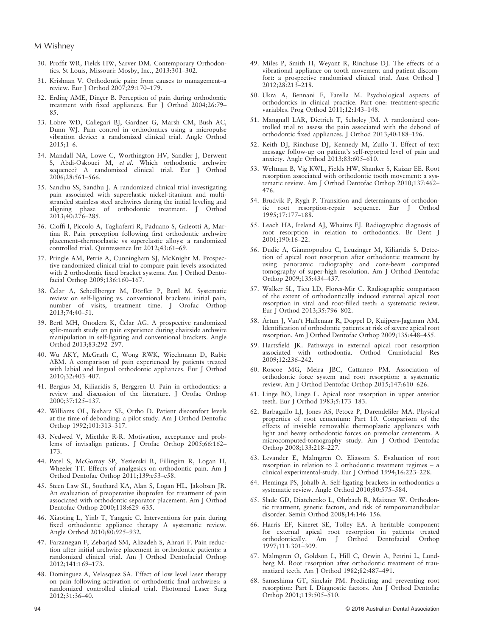- 30. Proffit WR, Fields HW, Sarver DM. Contemporary Orthodontics. St Louis, Missouri: Mosby, Inc., 2013:301–302.
- 31. Krishnan V. Orthodontic pain: from causes to management–a review. Eur J Orthod 2007;29:170–179.
- 32. Erdinç AME, Dincer B. Perception of pain during orthodontic treatment with fixed appliances. Eur J Orthod 2004;26:79– 85.
- 33. Lobre WD, Callegari BJ, Gardner G, Marsh CM, Bush AC, Dunn WJ. Pain control in orthodontics using a micropulse vibration device: a randomized clinical trial. Angle Orthod  $2.015:1-6$ .
- 34. Mandall NA, Lowe C, Worthington HV, Sandler J, Derwent S, Abdi-Oskouei M, et al. Which orthodontic archwire sequence? A randomized clinical trial. Eur J Orthod 2006;28:561–566.
- 35. Sandhu SS, Sandhu J. A randomized clinical trial investigating pain associated with superelastic nickel-titanium and multistranded stainless steel archwires during the initial leveling and aligning phase of orthodontic treatment. J Orthod 2013;40:276–285.
- 36. Cioffi I, Piccolo A, Tagliaferri R, Paduano S, Galeotti A, Martina R. Pain perception following first orthodontic archwire placement–thermoelastic vs superelastic alloys: a randomized controlled trial. Quintessence Int 2012;43:61–69.
- 37. Pringle AM, Petrie A, Cunningham SJ, McKnight M. Prospective randomized clinical trial to compare pain levels associated with 2 orthodontic fixed bracket systems. Am J Orthod Dentofacial Orthop 2009;136:160–167.
- 38. Čelar A, Schedlberger M, Dörfler P, Bertl M. Systematic review on self-ligating vs. conventional brackets: initial pain, number of visits, treatment time. J Orofac Orthop 2013;74:40–51.
- 39. Bertl MH, Onodera K, Čelar AG. A prospective randomized split-mouth study on pain experience during chairside archwire manipulation in self-ligating and conventional brackets. Angle Orthod 2013;83:292–297.
- 40. Wu AKY, McGrath C, Wong RWK, Wiechmann D, Rabie ABM. A comparison of pain experienced by patients treated with labial and lingual orthodontic appliances. Eur J Orthod 2010;32:403–407.
- 41. Bergius M, Kiliaridis S, Berggren U. Pain in orthodontics: a review and discussion of the literature. J Orofac Orthop 2000;37:125–137.
- 42. Williams OL, Bishara SE, Ortho D. Patient discomfort levels at the time of debonding: a pilot study. Am J Orthod Dentofac Orthop 1992;101:313–317.
- 43. Nedwed V, Miethke R-R. Motivation, acceptance and problems of invisalign patients. J Orofac Orthop 2005;66:162– 173.
- 44. Patel S, McGorray SP, Yezierski R, Fillingim R, Logan H, Wheeler TT. Effects of analgesics on orthodontic pain. Am J Orthod Dentofac Orthop 2011;139:e53–e58.
- 45. Steen Law SL, Southard KA, Alan S, Logan HL, Jakobsen JR. An evaluation of preoperative ibuprofen for treatment of pain associated with orthodontic separator placement. Am J Orthod Dentofac Orthop 2000;118:629–635.
- 46. Xiaoting L, Yinb T, Yangxic C. Interventions for pain during fixed orthodontic appliance therapy A systematic review. Angle Orthod 2010;80:925–932.
- 47. Farzanegan F, Zebarjad SM, Alizadeh S, Ahrari F. Pain reduction after initial archwire placement in orthodontic patients: a randomized clinical trial. Am J Orthod Dentofacial Orthop 2012;141:169–173.
- 48. Dominguez A, Velasquez SA. Effect of low level laser therapy on pain following activation of orthodontic final archwires: a randomized controlled clinical trial. Photomed Laser Surg 2012;31:36–40.
- 49. Miles P, Smith H, Weyant R, Rinchuse DJ. The effects of a vibrational appliance on tooth movement and patient discomfort: a prospective randomised clinical trial. Aust Orthod J 2012;28:213–218.
- 50. Ukra A, Bennani F, Farella M. Psychological aspects of orthodontics in clinical practice. Part one: treatment-specific variables. Prog Orthod 2011;12:143-148.
- 51. Mangnall LAR, Dietrich T, Scholey JM. A randomized controlled trial to assess the pain associated with the debond of orthodontic fixed appliances. J Orthod 2013;40:188–196.
- 52. Keith DJ, Rinchuse DJ, Kennedy M, Zullo T. Effect of text message follow-up on patient's self-reported level of pain and anxiety. Angle Orthod 2013;83:605–610.
- 53. Weltman B, Vig KWL, Fields HW, Shanker S, Kaizar EE. Root resorption associated with orthodontic tooth movement: a systematic review. Am J Orthod Dentofac Orthop 2010;137:462– 476.
- 54. Brudvik P, Rygh P. Transition and determinants of orthodontic root resorption-repair sequence. Eur J Orthod 1995;17:177–188.
- 55. Leach HA, Ireland AJ, Whaites EJ. Radiographic diagnosis of root resorption in relation to orthodontics. Br Dent J 2001;190:16–22.
- 56. Dudic A, Giannopoulou C, Leuzinger M, Kiliaridis S. Detection of apical root resorption after orthodontic treatment by using panoramic radiography and cone-beam computed tomography of super-high resolution. Am J Orthod Dentofac Orthop 2009;135:434–437.
- 57. Walker SL, Tieu LD, Flores-Mir C. Radiographic comparison of the extent of orthodontically induced external apical root resorption in vital and root-filled teeth: a systematic review. Eur J Orthod 2013;35:796–802.
- 58. Artun J, Van't Hullenaar R, Doppel D, Kuijpers-Jagtman AM. Identification of orthodontic patients at risk of severe apical root resorption. Am J Orthod Dentofac Orthop 2009;135:448–455.
- 59. Hartsfield JK. Pathways in external apical root resorption associated with orthodontia. Orthod Craniofacial Res 2009;12:236–242.
- 60. Roscoe MG, Meira JBC, Cattaneo PM. Association of orthodontic force system and root resorption: a systematic review. Am J Orthod Dentofac Orthop 2015;147:610–626.
- 61. Linge BO, Linge L. Apical root resorption in upper anterior teeth. Eur J Orthod 1983;5:173–183.
- 62. Barbagallo LJ, Jones AS, Petocz P, Darendeliler MA. Physical properties of root cementum: Part 10. Comparison of the effects of invisible removable thermoplastic appliances with light and heavy orthodontic forces on premolar cementum. A microcomputed-tomography study. Am J Orthod Dentofac Orthop 2008;133:218–227.
- 63. Levander E, Malmgren O, Eliasson S. Evaluation of root resorption in relation to 2 orthodontic treatment regimes – a clinical experimental-study. Eur J Orthod 1994;16:223–228.
- 64. Fleminga PS, Johalb A. Self-ligating brackets in orthodontics a systematic review. Angle Orthod 2010;80:575–584.
- 65. Slade GD, Diatchenko L, Ohrbach R, Maixner W. Orthodontic treatment, genetic factors, and risk of temporomandibular disorder. Semin Orthod 2008;14:146–156.
- 66. Harris EF, Kineret SE, Tolley EA. A heritable component for external apical root resorption in patients treated orthodontically. Am J Orthod Dentofacial Orthop 1997;111:301–309.
- 67. Malmgren O, Goldson L, Hill C, Orwin A, Petrini L, Lundberg M. Root resorption after orthodontic treatment of traumatized teeth. Am J Orthod 1982;82:487–491.
- 68. Sameshima GT, Sinclair PM. Predicting and preventing root resorption: Part I. Diagnostic factors. Am J Orthod Dentofac Orthop 2001;119:505–510.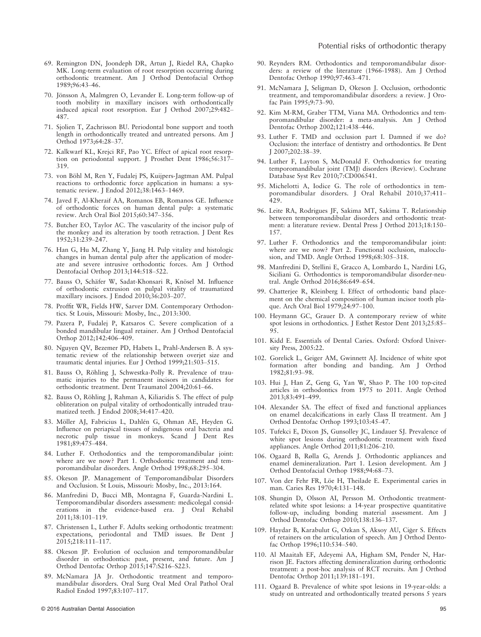- 69. Remington DN, Joondeph DR, Artun J, Riedel RA, Chapko MK. Long-term evaluation of root resorption occurring during orthodontic treatment. Am J Orthod Dentofacial Orthop 1989;96:43–46.
- 70. Jönsson A, Malmgren O, Levander E, Long-term follow-up of tooth mobility in maxillary incisors with orthodontically induced apical root resorption. Eur J Orthod 2007;29:482– 487.
- 71. Sjolien T, Zachrisson BU. Periodontal bone support and tooth length in orthodontically treated and untreated persons. Am J Orthod 1973;64:28–37.
- 72. Kalkwarf KL, Krejci RF, Pao YC. Effect of apical root resorption on periodontal support. J Prosthet Dent 1986;56:317– 319.
- 73. von Böhl M, Ren Y, Fudalej PS, Kuijpers-Jagtman AM. Pulpal reactions to orthodontic force application in humans: a systematic review. J Endod 2012;38:1463–1469.
- 74. Javed F, Al-Kheraif AA, Romanos EB, Romanos GE. Influence of orthodontic forces on human dental pulp: a systematic review. Arch Oral Biol 2015;60:347–356.
- 75. Butcher EO, Taylor AC. The vascularity of the incisor pulp of the monkey and its alteration by tooth retraction. J Dent Res 1952;31:239–247.
- 76. Han G, Hu M, Zhang Y, Jiang H. Pulp vitality and histologic changes in human dental pulp after the application of moderate and severe intrusive orthodontic forces. Am J Orthod Dentofacial Orthop 2013;144:518–522.
- 77. Bauss O, Schäfer W, Sadat-Khonsari R, Knösel M. Influence of orthodontic extrusion on pulpal vitality of traumatized maxillary incisors. J Endod 2010;36:203–207.
- 78. Proffit WR, Fields HW, Sarver DM. Contemporary Orthodontics. St Louis, Missouri: Mosby, Inc., 2013:300.
- 79. Pazera P, Fudalej P, Katsaros C. Severe complication of a bonded mandibular lingual retainer. Am J Orthod Dentofacial Orthop 2012;142:406–409.
- 80. Nguyen QV, Bezemer PD, Habets L, Prahl-Andersen B. A systematic review of the relationship between overjet size and traumatic dental injuries. Eur J Orthod 1999;21:503–515.
- 81. Bauss O, Röhling J, Schwestka-Polly R. Prevalence of traumatic injuries to the permanent incisors in candidates for orthodontic treatment. Dent Traumatol 2004;20:61–66.
- 82. Bauss O, Röhling J, Rahman A, Kiliaridis S. The effect of pulp obliteration on pulpal vitality of orthodontically intruded traumatized teeth. J Endod 2008;34:417–420.
- 83. Möller AJ, Fabricius L, Dahlén G, Ohman AE, Heyden G. Influence on periapical tissues of indigenous oral bacteria and necrotic pulp tissue in monkeys. Scand J Dent Res 1981;89:475–484.
- 84. Luther F. Orthodontics and the temporomandibular joint: where are we now? Part 1. Orthodontic treatment and temporomandibular disorders. Angle Orthod 1998;68:295–304.
- 85. Okeson JP. Management of Temporomandibular Disorders and Occlusion. St Louis, Missouri: Mosby, Inc., 2013:164.
- 86. Manfredini D, Bucci MB, Montagna F, Guarda-Nardini L. Temporomandibular disorders assessment: medicolegal considerations in the evidence-based era. J Oral Rehabil 2011;38:101–119.
- 87. Christensen L, Luther F. Adults seeking orthodontic treatment: expectations, periodontal and TMD issues. Br Dent J 2015;218:111–117.
- 88. Okeson JP. Evolution of occlusion and temporomandibular disorder in orthodontics: past, present, and future. Am J Orthod Dentofac Orthop 2015;147:S216–S223.
- 89. McNamara JA Jr. Orthodontic treatment and temporomandibular disorders. Oral Surg Oral Med Oral Pathol Oral Radiol Endod 1997;83:107–117.
- 90. Reynders RM. Orthodontics and temporomandibular disorders: a review of the literature (1966-1988). Am J Orthod Dentofac Orthop 1990;97:463–471.
- 91. McNamara J, Seligman D, Okeson J. Occlusion, orthodontic treatment, and temporomandibular disorders: a review. J Orofac Pain 1995;9:73–90.
- 92. Kim M-RM, Graber TTM, Viana MA. Orthodontics and temporomandibular disorder: a meta-analysis. Am J Orthod Dentofac Orthop 2002;121:438–446.
- 93. Luther F. TMD and occlusion part I. Damned if we do? Occlusion: the interface of dentistry and orthodontics. Br Dent J 2007;202:38–39.
- 94. Luther F, Layton S, McDonald F. Orthodontics for treating temporomandibular joint (TMJ) disorders (Review). Cochrane Database Syst Rev 2010;7:CD006541.
- 95. Michelotti A, Iodice G. The role of orthodontics in temporomandibular disorders. J Oral Rehabil 2010;37:411– 429.
- 96. Leite RA, Rodrigues JF, Sakima MT, Sakima T. Relationship between temporomandibular disorders and orthodontic treatment: a literature review. Dental Press J Orthod 2013;18:150– 157.
- 97. Luther F. Orthodontics and the temporomandibular joint: where are we now? Part 2. Functional occlusion, malocclusion, and TMD. Angle Orthod 1998;68:305–318.
- 98. Manfredini D, Stellini E, Gracco A, Lombardo L, Nardini LG, Siciliani G. Orthodontics is temporomandibular disorder-neutral. Angle Orthod 2016;86:649–654.
- 99. Chatterjee R, Kleinberg I. Effect of orthodontic band placement on the chemical composition of human incisor tooth plaque. Arch Oral Biol 1979;24:97–100.
- 100. Heymann GC, Grauer D. A contemporary review of white spot lesions in orthodontics. J Esthet Restor Dent 2013;25:85– 95.
- 101. Kidd E. Essentials of Dental Caries. Oxford: Oxford University Press, 2005:22.
- 102. Gorelick L, Geiger AM, Gwinnett AJ. Incidence of white spot formation after bonding and banding. Am J Orthod 1982;81:93–98.
- 103. Hui J, Han Z, Geng G, Yan W, Shao P. The 100 top-cited articles in orthodontics from 1975 to 2011. Angle Orthod 2013;83:491–499.
- 104. Alexander SA. The effect of fixed and functional appliances on enamel decalcifications in early Class II treatment. Am J Orthod Dentofac Orthop 1993;103:45–47.
- 105. Tufekci E, Dixon JS, Gunsolley JC, Lindauer SJ. Prevalence of white spot lesions during orthodontic treatment with fixed appliances. Angle Orthod 2011;81:206–210.
- 106. Ogaard B, Rølla G, Arends J. Orthodontic appliances and enamel demineralization. Part 1. Lesion development. Am J Orthod Dentofacial Orthop 1988;94:68–73.
- 107. Von der Fehr FR, Löe H, Theilade E. Experimental caries in man. Caries Res 1970;4:131–148.
- 108. Shungin D, Olsson AI, Persson M. Orthodontic treatmentrelated white spot lesions: a 14-year prospective quantitative follow-up, including bonding material assessment. Am J Orthod Dentofac Orthop 2010;138:136–137.
- 109. Haydar B, Karabulut G, Ozkan S, Aksoy AU, Ciğer S. Effects of retainers on the articulation of speech. Am J Orthod Dentofac Orthop 1996;110:534–540.
- 110. Al Maaitah EF, Adeyemi AA, Higham SM, Pender N, Harrison JE. Factors affecting demineralization during orthodontic treatment: a post-hoc analysis of RCT recruits. Am J Orthod Dentofac Orthop 2011;139:181–191.
- 111. Ogaard B. Prevalence of white spot lesions in 19-year-olds: a study on untreated and orthodontically treated persons 5 years